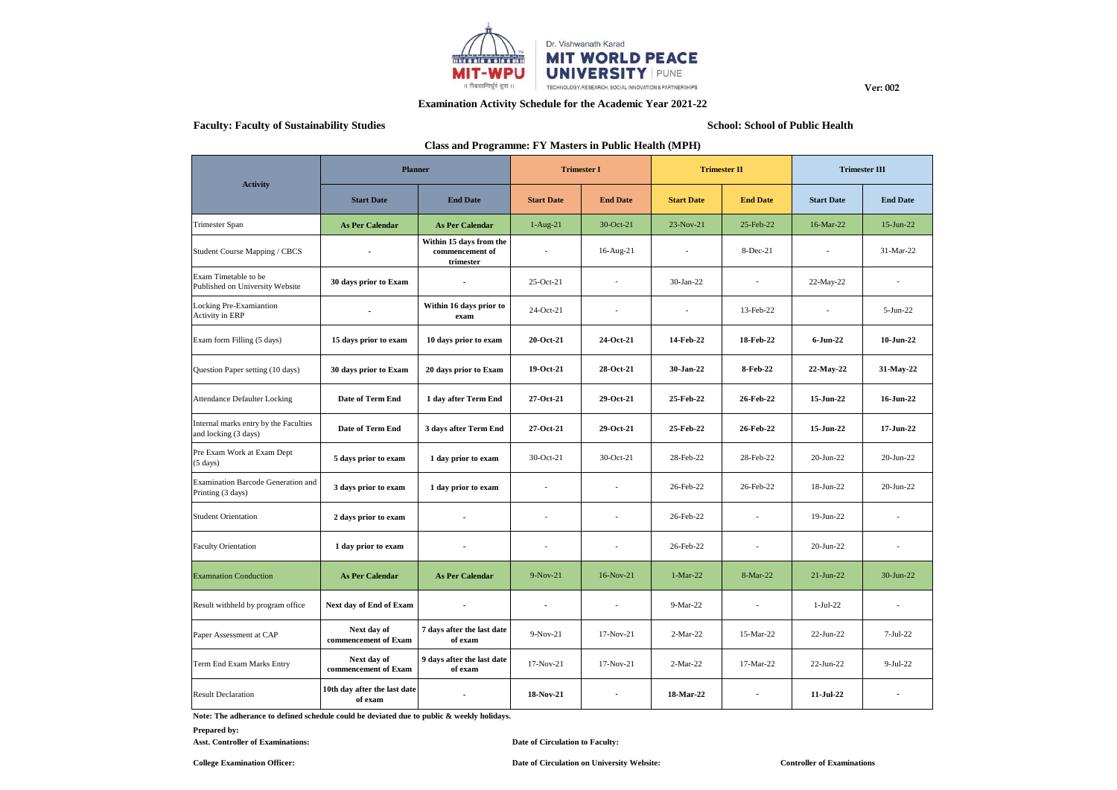

**Examination Activity Schedule for the Academic Year 2021-22**

# **Faculty: Faculty of Sustainability Studies School: School of Public Health**

**Ver: 002**

# **Class and Programme: FY Masters in Public Health (MPH)**

|                                                               | <b>Planner</b>                          |                                                         | <b>Trimester I</b> |                          | <b>Trimester II</b> |                          | <b>Trimester III</b> |                          |
|---------------------------------------------------------------|-----------------------------------------|---------------------------------------------------------|--------------------|--------------------------|---------------------|--------------------------|----------------------|--------------------------|
| <b>Activity</b>                                               | <b>Start Date</b>                       | <b>End Date</b>                                         | <b>Start Date</b>  | <b>End Date</b>          | <b>Start Date</b>   | <b>End Date</b>          | <b>Start Date</b>    | <b>End Date</b>          |
| Trimester Span                                                | <b>As Per Calendar</b>                  | <b>As Per Calendar</b>                                  | $1-Aug-21$         | 30-Oct-21                | 23-Nov-21           | 25-Feb-22                | 16-Mar-22            | $15$ -Jun-22             |
| Student Course Mapping / CBCS                                 | $\overline{\phantom{a}}$                | Within 15 days from the<br>commencement of<br>trimester | $\overline{a}$     | $16$ -Aug- $21$          | $\overline{a}$      | 8-Dec-21                 |                      | 31-Mar-22                |
| Exam Timetable to be<br>Published on University Website       | 30 days prior to Exam                   | $\blacksquare$                                          | $25-Oct-21$        | $\overline{a}$           | 30-Jan-22           | $\overline{\phantom{a}}$ | 22-May-22            | $\overline{a}$           |
| Locking Pre-Examiantion<br>Activity in ERP                    | $\blacksquare$                          | Within 16 days prior to<br>exam                         | 24-Oct-21          | $\overline{a}$           | $\overline{a}$      | 13-Feb-22                | $\sim$               | $5-Jun-22$               |
| Exam form Filling (5 days)                                    | 15 days prior to exam                   | 10 days prior to exam                                   | 20-Oct-21          | 24-Oct-21                | 14-Feb-22           | 18-Feb-22                | $6 - Jun-22$         | $10$ -Jun-22             |
| Question Paper setting (10 days)                              | 30 days prior to Exam                   | 20 days prior to Exam                                   | 19-Oct-21          | 28-Oct-21                | 30-Jan-22           | 8-Feb-22                 | 22-May-22            | 31-May-22                |
| <b>Attendance Defaulter Locking</b>                           | Date of Term End                        | 1 day after Term End                                    | 27-Oct-21          | 29-Oct-21                | 25-Feb-22           | 26-Feb-22                | 15-Jun-22            | 16-Jun-22                |
| Internal marks entry by the Faculties<br>and locking (3 days) | Date of Term End                        | 3 days after Term End                                   | 27-Oct-21          | 29-Oct-21                | 25-Feb-22           | 26-Feb-22                | 15-Jun-22            | 17-Jun-22                |
| Pre Exam Work at Exam Dept<br>$(5 \text{ days})$              | 5 days prior to exam                    | 1 day prior to exam                                     | $30$ -Oct-21       | $30$ -Oct-21             | 28-Feb-22           | 28-Feb-22                | $20$ -Jun- $22$      | $20$ -Jun-22             |
| Examination Barcode Generation and<br>Printing (3 days)       | 3 days prior to exam                    | 1 day prior to exam                                     | ٠                  |                          | 26-Feb-22           | 26-Feb-22                | 18-Jun-22            | 20-Jun-22                |
| <b>Student Orientation</b>                                    | 2 days prior to exam                    | $\blacksquare$                                          |                    |                          | 26-Feb-22           | $\overline{a}$           | $19$ -Jun-22         |                          |
| <b>Faculty Orientation</b>                                    | 1 day prior to exam                     | $\blacksquare$                                          | $\overline{a}$     | $\overline{a}$           | 26-Feb-22           | $\overline{a}$           | $20$ -Jun- $22$      | $\overline{\phantom{a}}$ |
| <b>Examnation Conduction</b>                                  | <b>As Per Calendar</b>                  | <b>As Per Calendar</b>                                  | $9-Nov-21$         | $16-Nov-21$              | $1-Mar-22$          | 8-Mar-22                 | $21$ -Jun-22         | $30$ -Jun-22             |
| Result withheld by program office                             | Next day of End of Exam                 | $\blacksquare$                                          | $\blacksquare$     | $\overline{\phantom{a}}$ | $9-Mar-22$          | $\overline{\phantom{a}}$ | $1-Jul-22$           | $\overline{\phantom{a}}$ |
| Paper Assessment at CAP                                       | Next day of<br>commencement of Exam     | 7 days after the last date<br>of exam                   | $9-Nov-21$         | 17-Nov-21                | $2-Mar-22$          | 15-Mar-22                | $22-Jun-22$          | $7-Jul-22$               |
| Term End Exam Marks Entry                                     | Next day of<br>commencement of Exam     | 9 days after the last date<br>of exam                   | $17-Nov-21$        | 17-Nov-21                | $2-Mar-22$          | 17-Mar-22                | $22$ -Jun- $22$      | $9-Jul-22$               |
| <b>Result Declaration</b>                                     | 10th day after the last date<br>of exam |                                                         | 18-Nov-21          |                          | 18-Mar-22           |                          | 11-Jul-22            |                          |

**Note: The adherance to defined schedule could be deviated due to public & weekly holidays.**

# **Prepared by:**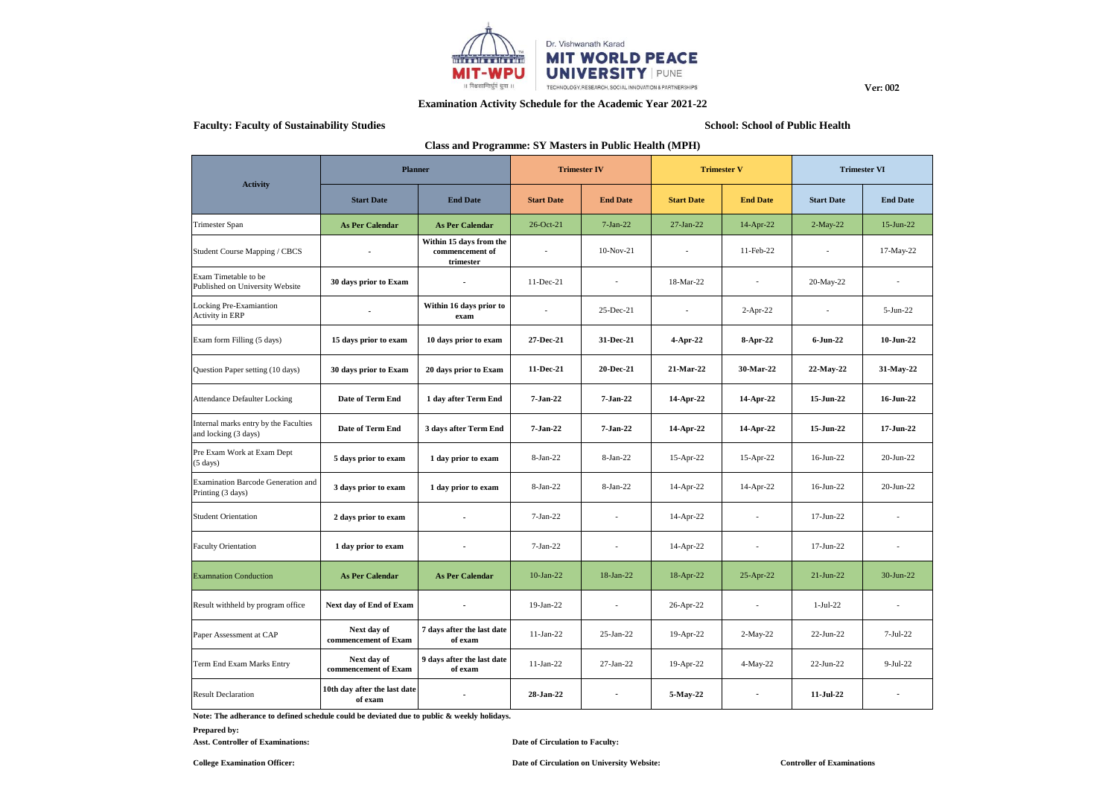

**Examination Activity Schedule for the Academic Year 2021-22**

# **Faculty: Faculty of Sustainability Studies School: School of Public Health**

**Ver: 002**

# **Class and Programme: SY Masters in Public Health (MPH)**

|                                                               | <b>Planner</b>                          |                                                         | <b>Trimester IV</b> |                 | <b>Trimester V</b> |                          | <b>Trimester VI</b> |                          |
|---------------------------------------------------------------|-----------------------------------------|---------------------------------------------------------|---------------------|-----------------|--------------------|--------------------------|---------------------|--------------------------|
| <b>Activity</b>                                               | <b>Start Date</b>                       | <b>End Date</b>                                         | <b>Start Date</b>   | <b>End Date</b> | <b>Start Date</b>  | <b>End Date</b>          | <b>Start Date</b>   | <b>End Date</b>          |
| Trimester Span                                                | <b>As Per Calendar</b>                  | <b>As Per Calendar</b>                                  | 26-Oct-21           | $7-Jan-22$      | $27-Ian-22$        | 14-Apr-22                | $2-May-22$          | $15$ -Jun-22             |
| Student Course Mapping / CBCS                                 | $\blacksquare$                          | Within 15 days from the<br>commencement of<br>trimester |                     | $10-Nov-21$     |                    | 11-Feb-22                |                     | 17-May-22                |
| Exam Timetable to be<br>Published on University Website       | 30 days prior to Exam                   | $\blacksquare$                                          | 11-Dec-21           | $\overline{a}$  | 18-Mar-22          | $\sim$                   | 20-May-22           | $\overline{\phantom{a}}$ |
| Locking Pre-Examiantion<br>Activity in ERP                    | ÷.                                      | Within 16 days prior to<br>exam                         |                     | 25-Dec-21       | $\overline{a}$     | $2-Apr-22$               | $\mathcal{L}$       | 5-Jun-22                 |
| Exam form Filling (5 days)                                    | 15 days prior to exam                   | 10 days prior to exam                                   | 27-Dec-21           | 31-Dec-21       | 4-Apr-22           | 8-Apr-22                 | $6 - Jun-22$        | $10$ -Jun-22             |
| Question Paper setting (10 days)                              | 30 days prior to Exam                   | 20 days prior to Exam                                   | 11-Dec-21           | 20-Dec-21       | 21-Mar-22          | 30-Mar-22                | 22-May-22           | 31-May-22                |
| <b>Attendance Defaulter Locking</b>                           | Date of Term End                        | 1 day after Term End                                    | 7-Jan-22            | 7-Jan-22        | 14-Apr-22          | 14-Apr-22                | 15-Jun-22           | 16-Jun-22                |
| Internal marks entry by the Faculties<br>and locking (3 days) | Date of Term End                        | 3 days after Term End                                   | 7-Jan-22            | 7-Jan-22        | 14-Apr-22          | 14-Apr-22                | 15-Jun-22           | 17-Jun-22                |
| Pre Exam Work at Exam Dept<br>$(5 \text{ days})$              | 5 days prior to exam                    | 1 day prior to exam                                     | 8-Jan-22            | 8-Jan-22        | 15-Apr-22          | 15-Apr-22                | 16-Jun-22           | $20$ -Jun- $22$          |
| Examination Barcode Generation and<br>Printing (3 days)       | 3 days prior to exam                    | 1 day prior to exam                                     | $8-Jan-22$          | $8-Jan-22$      | 14-Apr-22          | 14-Apr-22                | $16$ -Jun-22        | $20$ -Jun- $22$          |
| <b>Student Orientation</b>                                    | 2 days prior to exam                    | ÷.                                                      | $7-Ian-22$          | ٠               | 14-Apr-22          | $\sim$                   | 17-Jun-22           | $\overline{\phantom{a}}$ |
| <b>Faculty Orientation</b>                                    | 1 day prior to exam                     | $\overline{\phantom{a}}$                                | $7-Ian-22$          | ٠               | 14-Apr-22          | $\overline{\phantom{a}}$ | $17$ -Jun-22        | $\overline{\phantom{a}}$ |
| <b>Examnation Conduction</b>                                  | <b>As Per Calendar</b>                  | <b>As Per Calendar</b>                                  | $10$ -Jan-22        | $18$ -Jan-22    | 18-Apr-22          | 25-Apr-22                | $21-Jun-22$         | $30$ -Jun-22             |
| Result withheld by program office                             | Next day of End of Exam                 | $\overline{\phantom{a}}$                                | $19-Jan-22$         | $\sim$          | 26-Apr-22          | $\overline{\phantom{a}}$ | $1-Jul-22$          | $\overline{\phantom{a}}$ |
| Paper Assessment at CAP                                       | Next day of<br>commencement of Exam     | 7 days after the last date<br>of exam                   | $11-Jan-22$         | $25-Ian-22$     | 19-Apr-22          | $2-May-22$               | $22-Jun-22$         | $7-Jul-22$               |
| Term End Exam Marks Entry                                     | Next day of<br>commencement of Exam     | 9 days after the last date<br>of exam                   | 11-Jan-22           | $27-Ian-22$     | 19-Apr-22          | $4-May-22$               | $22$ -Jun- $22$     | $9-Jul-22$               |
| <b>Result Declaration</b>                                     | 10th day after the last date<br>of exam | $\overline{a}$                                          | 28-Jan-22           |                 | 5-May-22           |                          | $11-Jul-22$         |                          |

**Note: The adherance to defined schedule could be deviated due to public & weekly holidays.**

# **Prepared by:**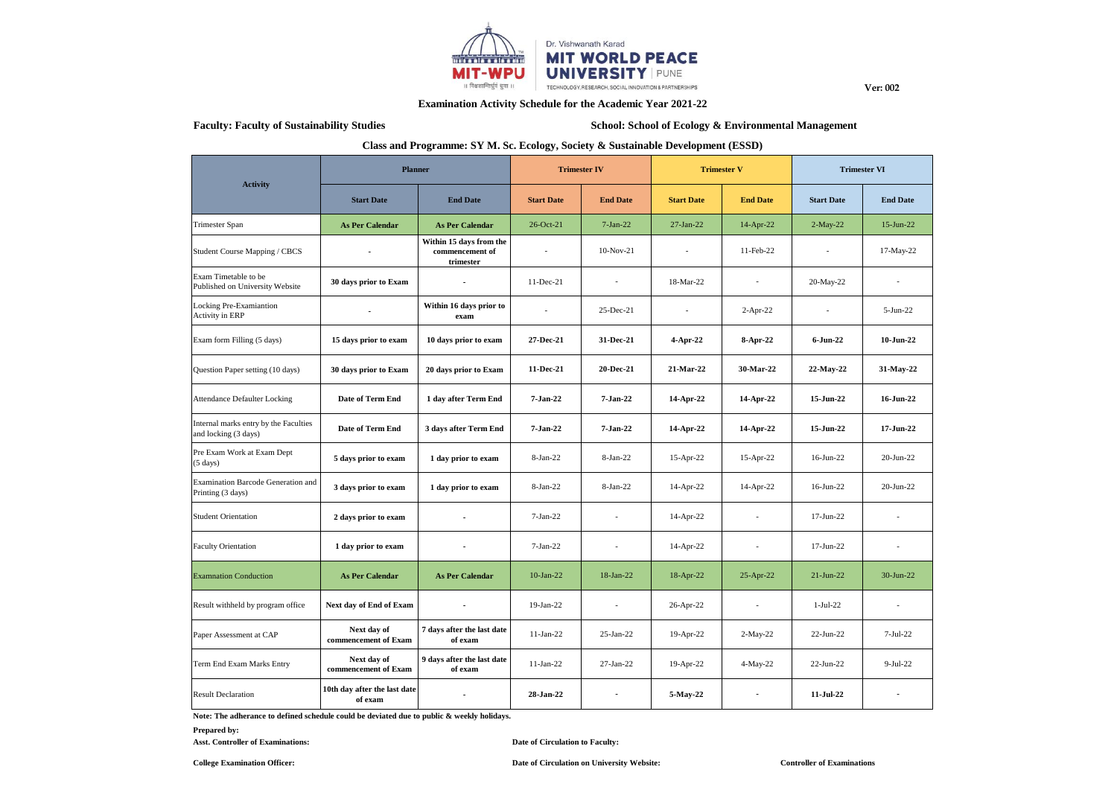

**Ver: 002**

# **Examination Activity Schedule for the Academic Year 2021-22**

# Faculty: Faculty of Sustainability Studies **School: School: School: School of Ecology & Environmental Management**

### **Class and Programme: SY M. Sc. Ecology, Society & Sustainable Development (ESSD)**

|                                                               | <b>Planner</b>                          |                                                         | <b>Trimester IV</b> |                          | <b>Trimester V</b> |                          | <b>Trimester VI</b> |                          |
|---------------------------------------------------------------|-----------------------------------------|---------------------------------------------------------|---------------------|--------------------------|--------------------|--------------------------|---------------------|--------------------------|
| <b>Activity</b>                                               | <b>Start Date</b>                       | <b>End Date</b>                                         | <b>Start Date</b>   | <b>End Date</b>          | <b>Start Date</b>  | <b>End Date</b>          | <b>Start Date</b>   | <b>End Date</b>          |
| Trimester Span                                                | <b>As Per Calendar</b>                  | <b>As Per Calendar</b>                                  | 26-Oct-21           | $7-Jan-22$               | $27-Ian-22$        | 14-Apr-22                | $2-May-22$          | 15-Jun-22                |
| Student Course Mapping / CBCS                                 | $\overline{\phantom{a}}$                | Within 15 days from the<br>commencement of<br>trimester | $\overline{a}$      | $10-Nov-21$              | $\overline{a}$     | 11-Feb-22                | ٠                   | 17-May-22                |
| Exam Timetable to be<br>Published on University Website       | 30 days prior to Exam                   | $\blacksquare$                                          | 11-Dec-21           | $\overline{\phantom{a}}$ | 18-Mar-22          | $\overline{\phantom{a}}$ | 20-May-22           | $\overline{\phantom{a}}$ |
| Locking Pre-Examiantion<br>Activity in ERP                    | $\blacksquare$                          | Within 16 days prior to<br>exam                         | $\overline{a}$      | 25-Dec-21                | $\sim$             | $2-Apr-22$               | $\sim$              | $5-Jun-22$               |
| Exam form Filling (5 days)                                    | 15 days prior to exam                   | 10 days prior to exam                                   | 27-Dec-21           | 31-Dec-21                | 4-Apr-22           | 8-Apr-22                 | 6-Jun-22            | 10-Jun-22                |
| Question Paper setting (10 days)                              | 30 days prior to Exam                   | 20 days prior to Exam                                   | 11-Dec-21           | 20-Dec-21                | 21-Mar-22          | 30-Mar-22                | 22-May-22           | 31-May-22                |
| <b>Attendance Defaulter Locking</b>                           | Date of Term End                        | 1 day after Term End                                    | 7-Jan-22            | 7-Jan-22                 | 14-Apr-22          | 14-Apr-22                | 15-Jun-22           | 16-Jun-22                |
| Internal marks entry by the Faculties<br>and locking (3 days) | Date of Term End                        | 3 days after Term End                                   | $7 - Jan-22$        | 7-Jan-22                 | 14-Apr-22          | 14-Apr-22                | 15-Jun-22           | $17 - Jun-22$            |
| Pre Exam Work at Exam Dept<br>$(5 \text{ days})$              | 5 days prior to exam                    | 1 day prior to exam                                     | 8-Jan-22            | 8-Jan-22                 | 15-Apr-22          | 15-Apr-22                | 16-Jun-22           | $20$ -Jun-22             |
| Examination Barcode Generation and<br>Printing (3 days)       | 3 days prior to exam                    | 1 day prior to exam                                     | $8-Ian-22$          | $8-Jan-22$               | 14-Apr-22          | 14-Apr-22                | $16$ -Jun-22        | $20$ -Jun- $22$          |
| <b>Student Orientation</b>                                    | 2 days prior to exam                    | $\blacksquare$                                          | $7-Jan-22$          | $\overline{a}$           | 14-Apr-22          | $\sim$                   | $17$ -Jun-22        | $\overline{a}$           |
| <b>Faculty Orientation</b>                                    | 1 day prior to exam                     | $\blacksquare$                                          | $7-Jan-22$          | $\overline{\phantom{a}}$ | 14-Apr-22          | $\sim$                   | $17$ -Jun-22        | $\overline{a}$           |
| <b>Examnation Conduction</b>                                  | <b>As Per Calendar</b>                  | <b>As Per Calendar</b>                                  | $10$ -Jan-22        | $18$ -Jan-22             | 18-Apr-22          | 25-Apr-22                | $21-Jun-22$         | $30 - Jun-22$            |
| Result withheld by program office                             | Next day of End of Exam                 | $\blacksquare$                                          | $19-Jan-22$         | ÷                        | 26-Apr-22          | $\sim$                   | $1-Jul-22$          | $\overline{\phantom{a}}$ |
| Paper Assessment at CAP                                       | Next day of<br>commencement of Exam     | 7 days after the last date<br>of exam                   | $11-Jan-22$         | $25$ -Jan- $22$          | 19-Apr-22          | $2-May-22$               | $22-Jun-22$         | $7-Jul-22$               |
| Term End Exam Marks Entry                                     | Next day of<br>commencement of Exam     | 9 days after the last date<br>of exam                   | $11-Jan-22$         | $27-Ian-22$              | 19-Apr-22          | $4-May-22$               | $22-Jun-22$         | $9-Jul-22$               |
| <b>Result Declaration</b>                                     | 10th day after the last date<br>of exam | ٠                                                       | 28-Jan-22           |                          | 5-May-22           |                          | 11-Jul-22           |                          |

**Note: The adherance to defined schedule could be deviated due to public & weekly holidays.**

# **Prepared by:**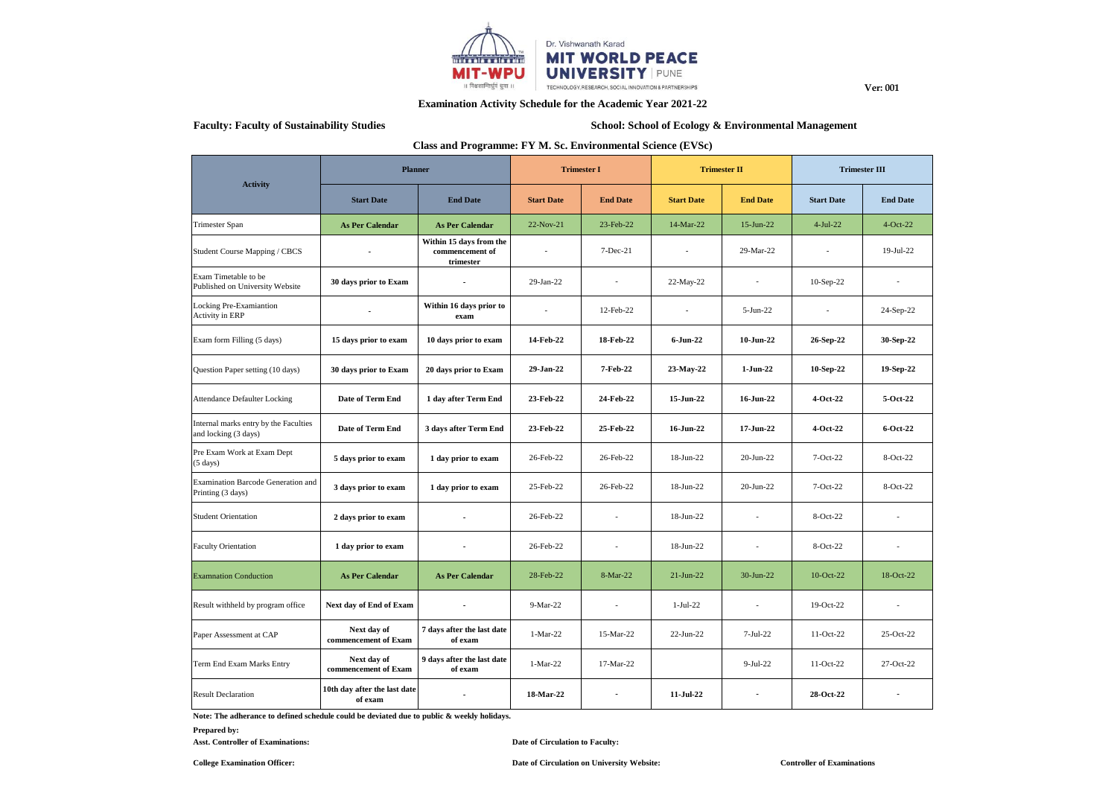

**Examination Activity Schedule for the Academic Year 2021-22**

# Faculty: Faculty of Sustainability Studies **School: School: School: School of Ecology & Environmental Management**

**Ver: 001**

### **Class and Programme: FY M. Sc. Environmental Science (EVSc)**

| <b>Activity</b>                                               | <b>Planner</b>                          |                                                         | <b>Trimester I</b> |                          | <b>Trimester II</b> |                 | <b>Trimester III</b> |                 |
|---------------------------------------------------------------|-----------------------------------------|---------------------------------------------------------|--------------------|--------------------------|---------------------|-----------------|----------------------|-----------------|
|                                                               | <b>Start Date</b>                       | <b>End Date</b>                                         | <b>Start Date</b>  | <b>End Date</b>          | <b>Start Date</b>   | <b>End Date</b> | <b>Start Date</b>    | <b>End Date</b> |
| Trimester Span                                                | <b>As Per Calendar</b>                  | <b>As Per Calendar</b>                                  | 22-Nov-21          | 23-Feb-22                | 14-Mar-22           | $15$ -Jun-22    | $4-Jul-22$           | $4-Oct-22$      |
| Student Course Mapping / CBCS                                 | $\overline{\phantom{a}}$                | Within 15 days from the<br>commencement of<br>trimester | $\overline{a}$     | $7-Dec-21$               | $\overline{a}$      | 29-Mar-22       | $\overline{a}$       | 19-Jul-22       |
| Exam Timetable to be<br>Published on University Website       | 30 days prior to Exam                   | ٠                                                       | 29-Jan-22          | $\overline{\phantom{a}}$ | 22-May-22           | $\sim$          | $10-Sep-22$          | $\overline{a}$  |
| Locking Pre-Examiantion<br><b>Activity in ERP</b>             |                                         | Within 16 days prior to<br>exam                         | $\overline{a}$     | 12-Feb-22                | ٠                   | $5-Jun-22$      | $\sim$               | 24-Sep-22       |
| Exam form Filling (5 days)                                    | 15 days prior to exam                   | 10 days prior to exam                                   | 14-Feb-22          | 18-Feb-22                | $6$ -Jun-22         | $10$ -Jun-22    | 26-Sep-22            | 30-Sep-22       |
| Question Paper setting (10 days)                              | 30 days prior to Exam                   | 20 days prior to Exam                                   | 29-Jan-22          | 7-Feb-22                 | 23-May-22           | $1$ -Jun-22     | 10-Sep-22            | 19-Sep-22       |
| <b>Attendance Defaulter Locking</b>                           | Date of Term End                        | 1 day after Term End                                    | 23-Feb-22          | 24-Feb-22                | 15-Jun-22           | 16-Jun-22       | 4-Oct-22             | 5-Oct-22        |
| Internal marks entry by the Faculties<br>and locking (3 days) | Date of Term End                        | 3 days after Term End                                   | 23-Feb-22          | 25-Feb-22                | 16-Jun-22           | 17-Jun-22       | 4-Oct-22             | 6-Oct-22        |
| Pre Exam Work at Exam Dept<br>$(5 \text{ days})$              | 5 days prior to exam                    | 1 day prior to exam                                     | 26-Feb-22          | 26-Feb-22                | $18$ -Jun-22        | $20 - Jun-22$   | $7-Oct-22$           | $8-Oct-22$      |
| Examination Barcode Generation and<br>Printing (3 days)       | 3 days prior to exam                    | 1 day prior to exam                                     | 25-Feb-22          | 26-Feb-22                | 18-Jun-22           | 20-Jun-22       | $7-Oct-22$           | 8-Oct-22        |
| <b>Student Orientation</b>                                    | 2 days prior to exam                    | ÷                                                       | 26-Feb-22          | $\overline{a}$           | 18-Jun-22           | in 1919.        | $8-Oct-22$           | $\overline{a}$  |
| <b>Faculty Orientation</b>                                    | 1 day prior to exam                     | ÷                                                       | 26-Feb-22          | $\overline{\phantom{a}}$ | $18$ -Jun-22        | $\sim$          | $8-Oct-22$           | ٠               |
| <b>Examnation Conduction</b>                                  | <b>As Per Calendar</b>                  | <b>As Per Calendar</b>                                  | 28-Feb-22          | 8-Mar-22                 | $21-Jun-22$         | $30-Jun-22$     | 10-Oct-22            | 18-Oct-22       |
| Result withheld by program office                             | Next day of End of Exam                 | $\blacksquare$                                          | $9-Mar-22$         | $\sim$                   | $1-Jul-22$          | $\overline{a}$  | $19-Oct-22$          | $\overline{a}$  |
| Paper Assessment at CAP                                       | Next day of<br>commencement of Exam     | 7 days after the last date<br>of exam                   | $1-Mar-22$         | 15-Mar-22                | $22-Jun-22$         | $7-Jul-22$      | 11-Oct-22            | $25-Oct-22$     |
| Term End Exam Marks Entry                                     | Next day of<br>commencement of Exam     | 9 days after the last date<br>of exam                   | $1-Mar-22$         | 17-Mar-22                |                     | $9-Jul-22$      | $11-Oct-22$          | 27-Oct-22       |
| <b>Result Declaration</b>                                     | 10th day after the last date<br>of exam | ä,                                                      | 18-Mar-22          |                          | $11$ -Jul-22        |                 | 28-Oct-22            |                 |

**Note: The adherance to defined schedule could be deviated due to public & weekly holidays.**

**Prepared by:**